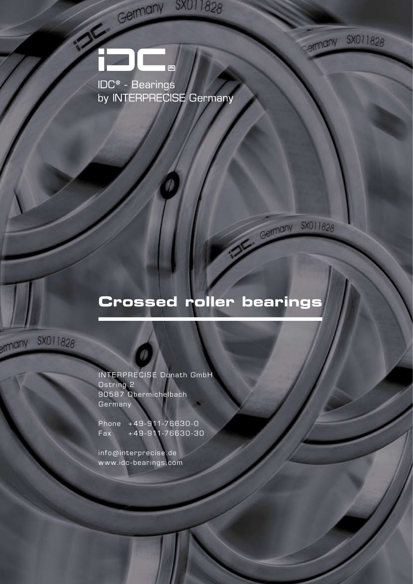

SX011828

ermany SX011828

Germany SX011828

## **Crossed roller bearings**

SX011828 emany

> INTERPRECISE Donath GmbH Ostring 2 90587 Obermichelbach **Germany**

Phone +49-911-76630-0 Fax +49-911-76630-30

info@interprecise.de www.idc-bearings.com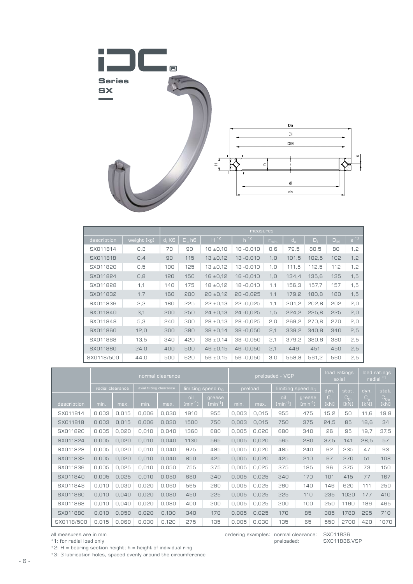

|             |             | measures             |                                  |                    |                    |            |         |       |       |          |  |
|-------------|-------------|----------------------|----------------------------------|--------------------|--------------------|------------|---------|-------|-------|----------|--|
| description | weight [kg] | $d_i$ K <sub>6</sub> | $\overline{D}_a$ h6 <sup>1</sup> | $H^*$ <sup>2</sup> | $h^*$ <sup>2</sup> | $r_{min.}$ | $d_{a}$ | $D_i$ | $D_M$ | $6^{12}$ |  |
| SX011814    | 0,3         | 70                   | 90                               | $10 \pm 0.10$      | $10 - 0,010$       | 0,6        | 79,5    | 80,5  | 80    | 1,2      |  |
| SX011818    | 0,4         | 90                   | 115                              | $13 + 0.12$        | $13 - 0,010$       | 1, 0       | 101,5   | 102,5 | 102   | 1,2      |  |
| SX011820    | 0, 5        | 100                  | 125                              | $13 + 0.12$        | $13 - 0,010$       | 1, 0       | 111,5   | 112,5 | 112   | 1, 2     |  |
| SX011824    | 0,8         | 120                  | 150                              | $16 \pm 0.12$      | $16 - 0,010$       | 1,0        | 134,4   | 135,6 | 135   | 1,5      |  |
| SX011828    | 1,1         | 140                  | 175                              | $18 \pm 0.12$      | 18-0,010           | 1,1        | 156,3   | 157,7 | 157   | 1,5      |  |
| SX011832    | 1,7         | 160                  | 200                              | $20 \pm 0.12$      | $20 - 0.025$       | 1,1        | 179,2   | 180,8 | 180   | 1,5      |  |
| SX011836    | 2,3         | 180                  | 225                              | $22 \pm 0.13$      | $22 - 0,025$       | 1,1        | 201,2   | 202,8 | 202   | 2,0      |  |
| SX011840    | 3,1         | 200                  | 250                              | $24 \pm 0.13$      | $24 - 0.025$       | 1,5        | 224,2   | 225,8 | 225   | 2,0      |  |
| SX011848    | 5,3         | 240                  | 300                              | $28 \pm 0.13$      | 28-0,025           | 2,0        | 269.2   | 270,8 | 270   | 2,0      |  |
| SX011860    | 12,0        | 300                  | 380                              | $38 \pm 0.14$      | $38 - 0,050$       | 2,1        | 339,2   | 340,8 | 340   | 2,5      |  |
| SX011868    | 13,5        | 340                  | 420                              | $38 \pm 0.14$      | $38 - 0.050$       | 2,1        | 379,2   | 380.8 | 380   | 2,5      |  |
| SX011880    | 24,0        | 400                  | 500                              | $46 \pm 0.15$      | 46-0.050           | 2,1        | 449     | 451   | 450   | 2,5      |  |
| SX0118/500  | 44.0        | 500                  | 620                              | $56 \pm 0.15$      | $56 - 0.050$       | 3,0        | 558.8   | 561.2 | 560   | 2,5      |  |

|             | normal clearance |                  |                         |       |                               |                        | preloaded - VSP |       |                               |                        | load ratings<br>axial |                        | load ratings<br>radial |                  |
|-------------|------------------|------------------|-------------------------|-------|-------------------------------|------------------------|-----------------|-------|-------------------------------|------------------------|-----------------------|------------------------|------------------------|------------------|
|             |                  | radial clearance | axial tilting clearance |       | limiting speed n <sub>G</sub> |                        | preload         |       | limiting speed n <sub>G</sub> |                        | dyn.                  | stat.                  | dyn.                   | stat.            |
| description | min.             | max.             | min.                    | max.  | oil<br>$[min^{-1}]$           | grease<br>$[min^{-1}]$ | min.            | max.  | oil<br>$[min^{-1}]$           | grease<br>$[min^{-1}]$ | $C_{\kappa}$<br>[kN]  | $C_{\Omega r}$<br>[kN] | $C_{\rm a}$<br>[kN]    | $C_{0a}$<br>[kN] |
| SX011814    | 0,003            | 0,015            | 0,006                   | 0,030 | 1910                          | 955                    | 0,003           | 0,015 | 955                           | 475                    | 15,2                  | 50                     | 11,6                   | 19,8             |
| SX011818    | 0,003            | 0.015            | 0.006                   | 0,030 | 1500                          | 750                    | 0,003           | 0.015 | 750                           | 375                    | 24,5                  | 85                     | 18,6                   | 34               |
| SX011820    | 0,005            | 0,020            | 0,010                   | 0,040 | 1360                          | 680                    | 0,005           | 0,020 | 680                           | 340                    | 26                    | 95                     | 19,7                   | 37,5             |
| SX011824    | 0,005            | 0,020            | 0,010                   | 0,040 | 1130                          | 565                    | 0,005           | 0,020 | 565                           | 280                    | 37,5                  | 141                    | 28,5                   | 57               |
| SX011828    | 0,005            | 0,020            | 0,010                   | 0,040 | 975                           | 485                    | 0,005           | 0,020 | 485                           | 240                    | 62                    | 235                    | 47                     | 93               |
| SX011832    | 0,005            | 0,020            | 0,010                   | 0,040 | 850                           | 425                    | 0,005           | 0,020 | 425                           | 210                    | 67                    | 270                    | 51                     | 108              |
| SX011836    | 0,005            | 0,025            | 0,010                   | 0,050 | 755                           | 375                    | 0,005           | 0,025 | 375                           | 185                    | 96                    | 375                    | 73                     | 150              |
| SX011840    | 0,005            | 0,025            | 0,010                   | 0,050 | 680                           | 340                    | 0,005           | 0,025 | 340                           | 170                    | 101                   | 415                    | 77                     | 167              |
| SX011848    | 0,010            | 0,030            | 0,020                   | 0,060 | 565                           | 280                    | 0,005           | 0,025 | 280                           | 140                    | 146                   | 620                    | 111                    | 250              |
| SX011860    | 0,010            | 0,040            | 0,020                   | 0,080 | 450                           | 225                    | 0,005           | 0,025 | 225                           | 110                    | 235                   | 1020                   | 177                    | 410              |
| SX011868    | 0,010            | 0,040            | 0,020                   | 0,080 | 400                           | 200                    | 0,005           | 0,025 | 200                           | 100                    | 250                   | 1160                   | 189                    | 465              |
| SX011880    | 0,010            | 0,050            | 0,020                   | 0,100 | 340                           | 170                    | 0,005           | 0,025 | 170                           | 85                     | 385                   | 1780                   | 295                    | 710              |
| SX0118/500  | 0,015            | 0.060            | 0.030                   | 0,120 | 275                           | 135                    | 0.005           | 0.030 | 135                           | 65                     | 550                   | 2700                   | 420                    | 1070             |

ordering examples: normal clearance: SX011836

preloaded: SX011836.VSP

all measures are in mm

\*1: for radial load only

 $*2$ : H = bearing section height; h = height of individual ring

\*3: 3 lubrication holes, spaced evenly around the circumference